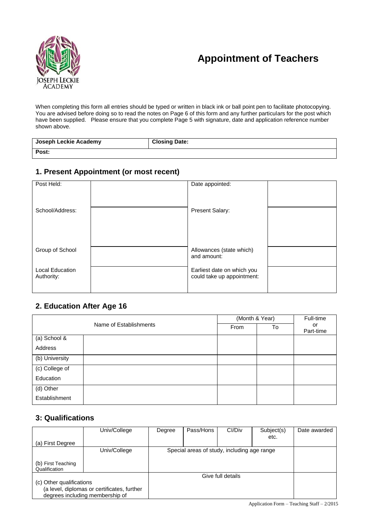# **Appointment of Teachers**



When completing this form all entries should be typed or written in black ink or ball point pen to facilitate photocopying. You are advised before doing so to read the notes on Page 6 of this form and any further particulars for the post which have been supplied. Please ensure that you complete Page 5 with signature, date and application reference number shown above.

| Joseph Leckie Academy | <b>Closing Date:</b> |
|-----------------------|----------------------|
| Post:                 |                      |

# **1. Present Appointment (or most recent)**

| Post Held:                           | Date appointed:                                          |  |
|--------------------------------------|----------------------------------------------------------|--|
| School/Address:                      | <b>Present Salary:</b>                                   |  |
| Group of School                      | Allowances (state which)<br>and amount:                  |  |
| <b>Local Education</b><br>Authority: | Earliest date on which you<br>could take up appointment: |  |

### **2. Education After Age 16**

|                |                        | (Month & Year) |    | Full-time       |
|----------------|------------------------|----------------|----|-----------------|
|                | Name of Establishments | From           | To | or<br>Part-time |
| (a) School &   |                        |                |    |                 |
| Address        |                        |                |    |                 |
| (b) University |                        |                |    |                 |
| (c) College of |                        |                |    |                 |
| Education      |                        |                |    |                 |
| (d) Other      |                        |                |    |                 |
| Establishment  |                        |                |    |                 |

# **3: Qualifications**

|                                     | Univ/College                                                                   | Degree | Pass/Hons | CI/Div                                      | Subject(s) | Date awarded |
|-------------------------------------|--------------------------------------------------------------------------------|--------|-----------|---------------------------------------------|------------|--------------|
| (a) First Degree                    |                                                                                |        |           |                                             | etc.       |              |
|                                     | Univ/College                                                                   |        |           | Special areas of study, including age range |            |              |
| (b) First Teaching<br>Qualification |                                                                                |        |           |                                             |            |              |
|                                     |                                                                                |        |           | Give full details                           |            |              |
| (c) Other qualifications            | (a level, diplomas or certificates, further<br>degrees including membership of |        |           |                                             |            |              |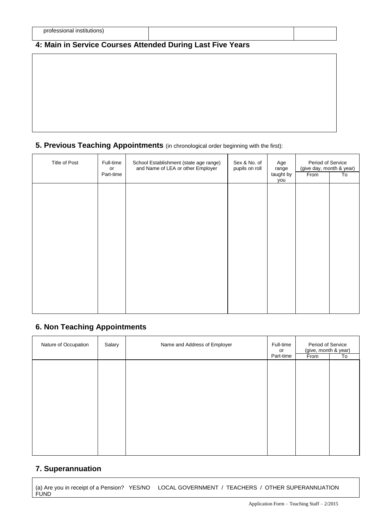# **4: Main in Service Courses Attended During Last Five Years**

# **5. Previous Teaching Appointments** (in chronological order beginning with the first):

| Title of Post | Full-time<br>or<br>Part-time | School Establishment (state age range)<br>and Name of LEA or other Employer | Sex & No. of<br>pupils on roll | Age<br>range<br>taught by<br>you | Period of Service<br>(give day, month & year)<br>From | To |
|---------------|------------------------------|-----------------------------------------------------------------------------|--------------------------------|----------------------------------|-------------------------------------------------------|----|
|               |                              |                                                                             |                                |                                  |                                                       |    |
|               |                              |                                                                             |                                |                                  |                                                       |    |
|               |                              |                                                                             |                                |                                  |                                                       |    |
|               |                              |                                                                             |                                |                                  |                                                       |    |
|               |                              |                                                                             |                                |                                  |                                                       |    |

# **6. Non Teaching Appointments**

| Salary | Name and Address of Employer | Full-time<br>or |           | To                                                |
|--------|------------------------------|-----------------|-----------|---------------------------------------------------|
|        |                              |                 |           |                                                   |
|        |                              |                 |           |                                                   |
|        |                              |                 |           |                                                   |
|        |                              |                 |           |                                                   |
|        |                              |                 |           |                                                   |
|        |                              |                 |           |                                                   |
|        |                              |                 |           |                                                   |
|        |                              |                 |           |                                                   |
|        |                              |                 |           |                                                   |
|        |                              |                 |           |                                                   |
|        |                              |                 |           |                                                   |
|        |                              |                 |           |                                                   |
|        |                              |                 |           |                                                   |
|        |                              |                 |           |                                                   |
|        |                              |                 | Part-time | Period of Service<br>(give, month & year)<br>From |

# **7. Superannuation**

(a) Are you in receipt of a Pension? YES/NO LOCAL GOVERNMENT / TEACHERS / OTHER SUPERANNUATION FUND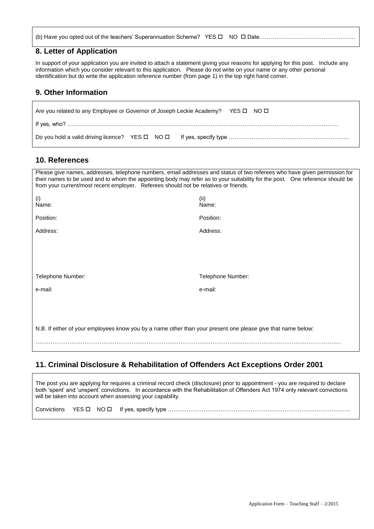#### **8. Letter of Application**

In support of your application you are invited to attach a statement giving your reasons for applying for this post. Include any information which you consider relevant to this application. Please do not write on your name or any other personal identification but do write the application reference number (from page 1) in the top right hand corner.

#### **9. Other Information**

| Are you related to any Employee or Governor of Joseph Leckie Academy? YES $\square$ NO $\square$ |  |
|--------------------------------------------------------------------------------------------------|--|
|                                                                                                  |  |
|                                                                                                  |  |

#### **10. References**

| Please give names, addresses, telephone numbers, email addresses and status of two referees who have given permission for<br>their names to be used and to whom the appointing body may refer as to your suitability for the post. One reference should be<br>from your current/most recent employer. Referees should not be relatives or friends. |                   |
|----------------------------------------------------------------------------------------------------------------------------------------------------------------------------------------------------------------------------------------------------------------------------------------------------------------------------------------------------|-------------------|
| (i)<br>Name:                                                                                                                                                                                                                                                                                                                                       | (ii)<br>Name:     |
| Position:                                                                                                                                                                                                                                                                                                                                          | Position:         |
| Address:                                                                                                                                                                                                                                                                                                                                           | Address:          |
| Telephone Number:                                                                                                                                                                                                                                                                                                                                  | Telephone Number: |
| e-mail:                                                                                                                                                                                                                                                                                                                                            | e-mail:           |
|                                                                                                                                                                                                                                                                                                                                                    |                   |
| N.B. If either of your employees know you by a name other than your present one please give that name below:                                                                                                                                                                                                                                       |                   |
|                                                                                                                                                                                                                                                                                                                                                    |                   |

# **11. Criminal Disclosure & Rehabilitation of Offenders Act Exceptions Order 2001**

The post you are applying for requires a criminal record check (disclosure) prior to appointment - you are required to declare both 'spent' and 'unspent' convictions. In accordance with the Rehabilitation of Offenders Act 1974 only relevant convictions will be taken into account when assessing your capability.

| Convictions | YES <b>D</b> | .∠S□ NO□ ぱ |  |
|-------------|--------------|------------|--|
|-------------|--------------|------------|--|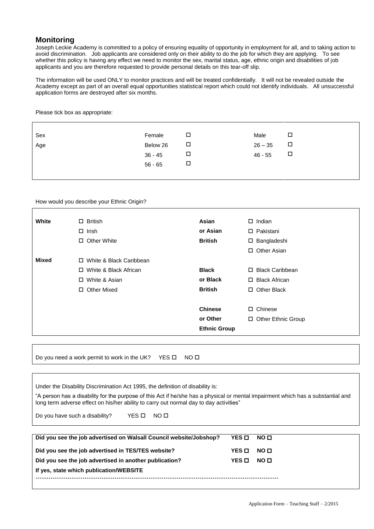#### **Monitoring**

Joseph Leckie Academy is committed to a policy of ensuring equality of opportunity in employment for all, and to taking action to avoid discrimination. Job applicants are considered only on their ability to do the job for which they are applying. To see whether this policy is having any effect we need to monitor the sex, marital status, age, ethnic origin and disabilities of job applicants and you are therefore requested to provide personal details on this tear-off slip.

The information will be used ONLY to monitor practices and will be treated confidentially. It will not be revealed outside the Academy except as part of an overall equal opportunities statistical report which could not identify individuals. All unsuccessful application forms are destroyed after six months.

Please tick box as appropriate:

| Sex | Female    | □      | Male      | □      |
|-----|-----------|--------|-----------|--------|
| Age | Below 26  | □      | $26 - 35$ | $\Box$ |
|     | $36 - 45$ | $\Box$ | $46 - 55$ | $\Box$ |
|     | $56 - 65$ | □      |           |        |
|     |           |        |           |        |

How would you describe your Ethnic Origin?

| White        | $\Box$ British            | Asian               | $\Box$ Indian                |
|--------------|---------------------------|---------------------|------------------------------|
|              | $\Box$ Irish              | or Asian            | $\square$ Pakistani          |
|              | □ Other White             | <b>British</b>      | □ Bangladeshi                |
|              |                           |                     | □ Other Asian                |
| <b>Mixed</b> | □ White & Black Caribbean |                     |                              |
|              | □ White & Black African   | <b>Black</b>        | □ Black Caribbean            |
|              | □ White & Asian           | or Black            | □ Black African              |
|              | Other Mixed<br>П.         | <b>British</b>      | <b>Other Black</b><br>$\Box$ |
|              |                           |                     |                              |
|              |                           | <b>Chinese</b>      | $\square$ Chinese            |
|              |                           | or Other            | □ Other Ethnic Group         |
|              |                           | <b>Ethnic Group</b> |                              |
|              |                           |                     |                              |

Do you need a work permit to work in the UK? YES  $\square$  NO  $\square$ 

| Under the Disability Discrimination Act 1995, the definition of disability is: |  |
|--------------------------------------------------------------------------------|--|
|--------------------------------------------------------------------------------|--|

"A person has a disability for the purpose of this Act if he/she has a physical or mental impairment which has a substantial and long term adverse effect on his/her ability to carry out normal day to day activities"

Do you have such a disability? YES  $\square$  NO  $\square$ 

| Did you see the job advertised on Walsall Council website/Jobshop? | YES O | NO O |  |  |
|--------------------------------------------------------------------|-------|------|--|--|
| Did you see the job advertised in TES/TES website?                 | YES O | NO O |  |  |
| Did you see the job advertised in another publication?             | YES O | NO O |  |  |
| If yes, state which publication/WEBSITE                            |       |      |  |  |
|                                                                    |       |      |  |  |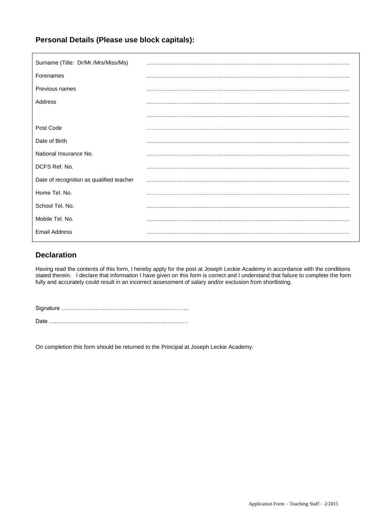# **Personal Details (Please use block capitals):**

| Surname (Title: Dr/Mr./Mrs/Miss/Ms)      |  |
|------------------------------------------|--|
| Forenames                                |  |
| Previous names                           |  |
| Address                                  |  |
|                                          |  |
| Post Code                                |  |
| Date of Birth                            |  |
| National Insurance No.                   |  |
| DCFS Ref. No.                            |  |
| Date of recognition as qualified teacher |  |
| Home Tel. No.                            |  |
| School Tel. No.                          |  |
| Mobile Tel. No.                          |  |
| <b>Email Address</b>                     |  |

### **Declaration**

Having read the contents of this form, I hereby apply for the post at Joseph Leckie Academy in accordance with the conditions stated therein. I declare that information I have given on this form is correct and I understand that failure to complete the form fully and accurately could result in an incorrect assessment of salary and/or exclusion from shortlisting.

Signature ………………………………………………………….. Date …………………………………………………….………….

On completion this form should be returned to the Principal at Joseph Leckie Academy.